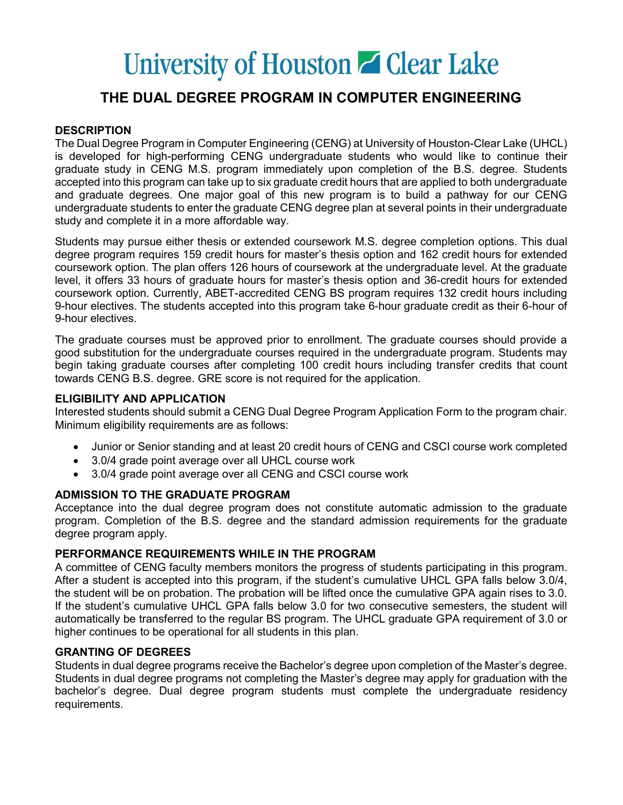# University of Houston **Z** Clear Lake

## THE DUAL DEGREE PROGRAM IN COMPUTER ENGINEERING

### **DESCRIPTION**

The Dual Degree Program in Computer Engineering (CENG) at University of Houston-Clear Lake (UHCL) is developed for high-performing CENG undergraduate students who would like to continue their graduate study in CENG M.S. program immediately upon completion of the B.S. degree. Students accepted into this program can take up to six graduate credit hours that are applied to both undergraduate and graduate degrees. One major goal of this new program is to build a pathway for our CENG undergraduate students to enter the graduate CENG degree plan at several points in their undergraduate study and complete it in a more affordable way.

Students may pursue either thesis or extended coursework M.S. degree completion options. This dual degree program requires 159 credit hours for master's thesis option and 162 credit hours for extended coursework option. The plan offers 126 hours of coursework at the undergraduate level. At the graduate level, it offers 33 hours of graduate hours for master's thesis option and 36-credit hours for extended coursework option. Currently, ABET-accredited CENG BS program requires 132 credit hours including 9-hour electives. The students accepted into this program take 6-hour graduate credit as their 6-hour of 9-hour electives.

The graduate courses must be approved prior to enrollment. The graduate courses should provide a good substitution for the undergraduate courses required in the undergraduate program. Students may begin taking graduate courses after completing 100 credit hours including transfer credits that count towards CENG B.S. degree. GRE score is not required for the application.

#### ELIGIBILITY AND APPLICATION

Interested students should submit a CENG Dual Degree Program Application Form to the program chair. Minimum eligibility requirements are as follows:

- Junior or Senior standing and at least 20 credit hours of CENG and CSCI course work completed
- 3.0/4 grade point average over all UHCL course work
- 3.0/4 grade point average over all CENG and CSCI course work

#### ADMISSION TO THE GRADUATE PROGRAM

Acceptance into the dual degree program does not constitute automatic admission to the graduate program. Completion of the B.S. degree and the standard admission requirements for the graduate degree program apply.

#### PERFORMANCE REQUIREMENTS WHILE IN THE PROGRAM

A committee of CENG faculty members monitors the progress of students participating in this program. After a student is accepted into this program, if the student's cumulative UHCL GPA falls below 3.0/4, the student will be on probation. The probation will be lifted once the cumulative GPA again rises to 3.0. If the student's cumulative UHCL GPA falls below 3.0 for two consecutive semesters, the student will automatically be transferred to the regular BS program. The UHCL graduate GPA requirement of 3.0 or higher continues to be operational for all students in this plan.

#### GRANTING OF DEGREES

Students in dual degree programs receive the Bachelor's degree upon completion of the Master's degree. Students in dual degree programs not completing the Master's degree may apply for graduation with the bachelor's degree. Dual degree program students must complete the undergraduate residency requirements.